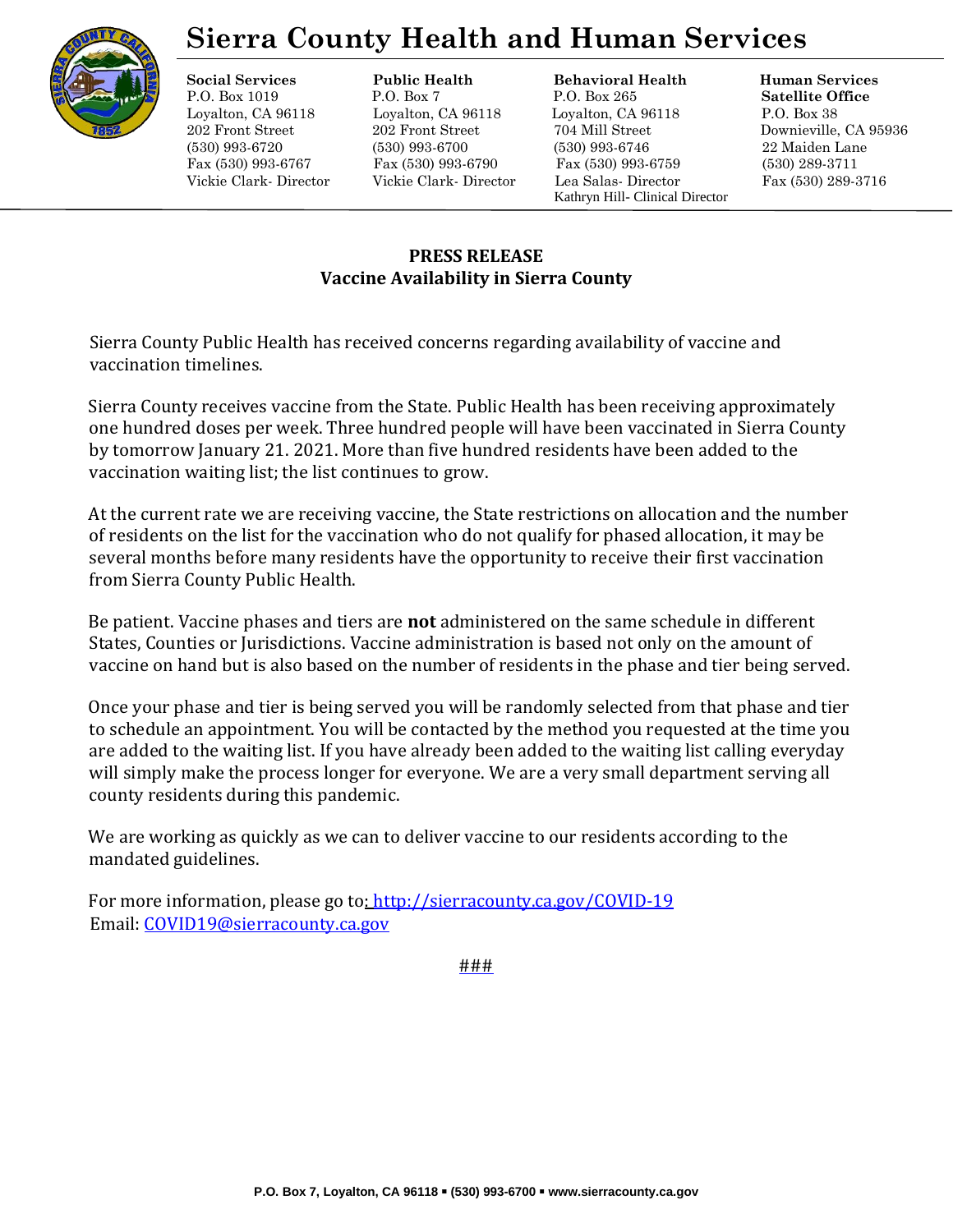

## **Sierra County Health and Human Services**

**Social Services Public Health Behavioral Health Human Services**

P.O. Box 1019 P.O. Box 7 P.O. Box 265 **Satellite Office** Loyalton, CA 96118 Loyalton, CA 96118 Loyalton, CA 96118 P.O. Box 38 202 Front Street 202 Front Street 704 Mill Street Downieville, CA 95936 (530) 993-6720 (530) 993-6700 (530) 993-6746 22 Maiden Lane Fax (530) 993-6767 Fax (530) 993-6790 Fax (530) 993-6759 (530) 289-3711 Vickie Clark- Director Vickie Clark- Director Lea Salas- Director Fax (530) 289-3716 Kathryn Hill- Clinical Director

#### **PRESS RELEASE Vaccine Availability in Sierra County**

Sierra County Public Health has received concerns regarding availability of vaccine and vaccination timelines.

Sierra County receives vaccine from the State. Public Health has been receiving approximately one hundred doses per week. Three hundred people will have been vaccinated in Sierra County by tomorrow January 21. 2021. More than five hundred residents have been added to the vaccination waiting list; the list continues to grow.

At the current rate we are receiving vaccine, the State restrictions on allocation and the number of residents on the list for the vaccination who do not qualify for phased allocation, it may be several months before many residents have the opportunity to receive their first vaccination from Sierra County Public Health.

Be patient. Vaccine phases and tiers are **not** administered on the same schedule in different States, Counties or Jurisdictions. Vaccine administration is based not only on the amount of vaccine on hand but is also based on the number of residents in the phase and tier being served.

Once your phase and tier is being served you will be randomly selected from that phase and tier to schedule an appointment. You will be contacted by the method you requested at the time you are added to the waiting list. If you have already been added to the waiting list calling everyday will simply make the process longer for everyone. We are a very small department serving all county residents during this pandemic.

We are working as quickly as we can to deliver vaccine to our residents according to the mandated guidelines.

For more information, please go t[o: http://sierracounty.ca.gov/COVID-19](http://sierracounty.ca.gov/582/Coronavirus-COVID-19) Email: COVID19@sierracounty.ca.gov

###